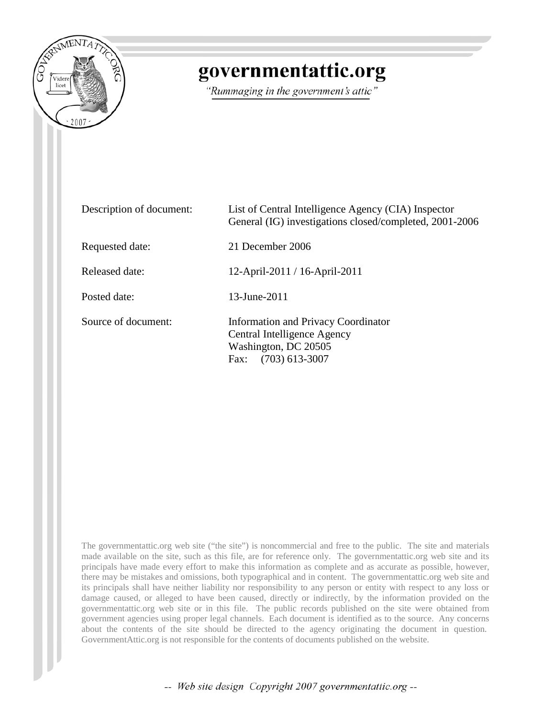

## governmentattic.org

"Rummaging in the government's attic"

| Description of document: | List of Central Intelligence Agency (CIA) Inspector<br>General (IG) investigations closed/completed, 2001-2006         |
|--------------------------|------------------------------------------------------------------------------------------------------------------------|
| Requested date:          | 21 December 2006                                                                                                       |
| Released date:           | 12-April-2011 / 16-April-2011                                                                                          |
| Posted date:             | 13-June-2011                                                                                                           |
| Source of document:      | Information and Privacy Coordinator<br>Central Intelligence Agency<br>Washington, DC 20505<br>$(703)$ 613-3007<br>Fax: |

The governmentattic.org web site ("the site") is noncommercial and free to the public. The site and materials made available on the site, such as this file, are for reference only. The governmentattic.org web site and its principals have made every effort to make this information as complete and as accurate as possible, however, there may be mistakes and omissions, both typographical and in content. The governmentattic.org web site and its principals shall have neither liability nor responsibility to any person or entity with respect to any loss or damage caused, or alleged to have been caused, directly or indirectly, by the information provided on the governmentattic.org web site or in this file. The public records published on the site were obtained from government agencies using proper legal channels. Each document is identified as to the source. Any concerns about the contents of the site should be directed to the agency originating the document in question. GovernmentAttic.org is not responsible for the contents of documents published on the website.

-- Web site design Copyright 2007 governmentattic.org --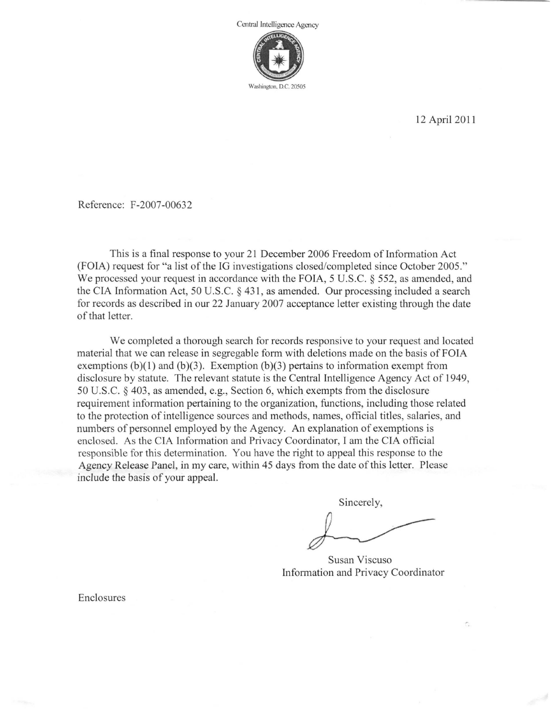

12 April 2011

Reference: F-2007-00632

This is a final response to your 21 December 2006 Freedom of Information Act (FOIA) request for "a list of the IG investigations closed/completed since October 2005." We processed your request in accordance with the FOIA, 5 U.S.C. § 552, as amended, and the CIA Information Act, 50 U.S.C. § 431, as amended. Our processing included a search for records as described in our 22 January 2007 acceptance letter existing through the date of that letter.

We completed a thorough search for records responsive to your request and located material that we can release in segregable form with deletions made on the basis of FOIA exemptions  $(b)(1)$  and  $(b)(3)$ . Exemption  $(b)(3)$  pertains to information exempt from disclosure by statute. The relevant statute is the Central Intelligence Agency Act of 1949, 50 U.S.C. § 403, as amended, e.g., Section 6, which exempts from the disclosure requirement information pertaining to the organization, functions, including those related to the protection of intelligence sources and methods, names, official titles, salaries, and numbers of personnel employed by the Agency. An explanation of exemptions is enclosed. As the CIA Information and Privacy Coordinator, I am the CIA official responsible for this determination. You have the right to appeal this response to the Agency Release Panel, in my care, within 45 days from the date of this letter. Please include the basis of your appeal.

Sincerely,

Susan Viscuso Information and Privacy Coordinator

·.

Enclosures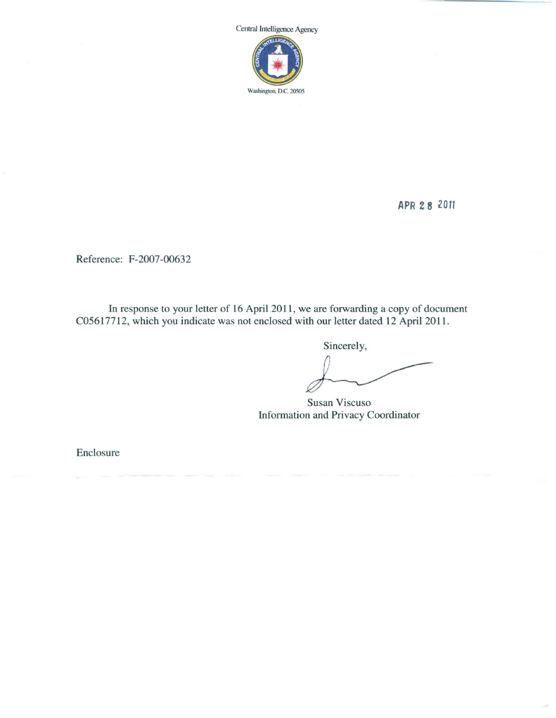

**APR 2 8 2011** 

Reference: F-2007-00632

In response to your letter of 16 April 2011, we are forwarding a copy of document C05617712, which you indicate was not enclosed with our letter dated 12 April 2011.

Sincerely,

Susan Viscuso Information and Privacy Coordinator

Enclosure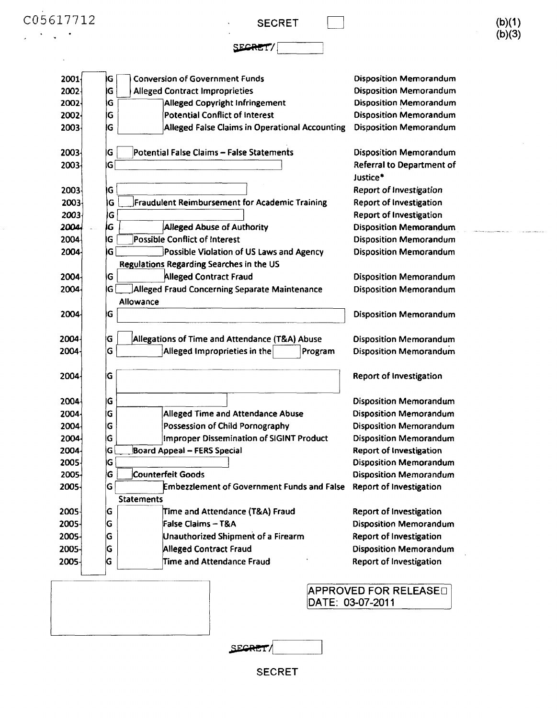$\mathcal{L}^{\text{max}}_{\text{max}}$ 

**SECRET** 

SECRET/

and and the contract of the contract of the contract of the contract of the contract of the contract of the contract of the contract of the contract of the contract of the contract of the contract of the contract of the co المحمدات

| 2001                                                                                                                         | IG                | <b>Conversion of Government Funds</b>                        | <b>Disposition Memorandum</b>                                   |
|------------------------------------------------------------------------------------------------------------------------------|-------------------|--------------------------------------------------------------|-----------------------------------------------------------------|
| 2002                                                                                                                         | ΙG                | <b>Alleged Contract Improprieties</b>                        | <b>Disposition Memorandum</b>                                   |
| 2002-                                                                                                                        | ۱G                | Alleged Copyright Infringement                               | <b>Disposition Memorandum</b>                                   |
| 2002-                                                                                                                        | G                 | Potential Conflict of Interest                               | <b>Disposition Memorandum</b>                                   |
| 2003                                                                                                                         | ΙG                | <b>Alleged False Claims in Operational Accounting</b>        | <b>Disposition Memorandum</b>                                   |
| 2003                                                                                                                         | İG                | Potential False Claims - False Statements                    | <b>Disposition Memorandum</b>                                   |
| 2003                                                                                                                         | IG                |                                                              | <b>Referral to Department of</b><br>Justice*                    |
| 2003                                                                                                                         | ۱G                |                                                              | Report of Investigation                                         |
| 2003                                                                                                                         | G                 | Fraudulent Reimbursement for Academic Training               | <b>Report of Investigation</b>                                  |
| 2003                                                                                                                         | G                 |                                                              | <b>Report of Investigation</b>                                  |
| 2004                                                                                                                         | IG                | Alleged Abuse of Authority                                   | <b>Disposition Memorandum</b>                                   |
| 2004                                                                                                                         | G                 | <b>Possible Conflict of Interest</b>                         | <b>Disposition Memorandum</b>                                   |
| 2004                                                                                                                         | G                 | Possible Violation of US Laws and Agency                     | <b>Disposition Memorandum</b>                                   |
|                                                                                                                              |                   | Regulations Regarding Searches in the US                     |                                                                 |
| 2004                                                                                                                         | G                 | <b>Alleged Contract Fraud</b>                                | <b>Disposition Memorandum</b>                                   |
| 2004                                                                                                                         | Ġ                 | Alleged Fraud Concerning Separate Maintenance                | <b>Disposition Memorandum</b>                                   |
| 2004                                                                                                                         | Allowance<br>G    |                                                              | <b>Disposition Memorandum</b>                                   |
|                                                                                                                              |                   |                                                              |                                                                 |
|                                                                                                                              | G                 | Allegations of Time and Attendance (T&A) Abuse               | <b>Disposition Memorandum</b>                                   |
|                                                                                                                              | G                 | Alleged Improprieties in the<br>Program                      | <b>Disposition Memorandum</b>                                   |
|                                                                                                                              | İG                |                                                              | <b>Report of Investigation</b>                                  |
|                                                                                                                              | IG                |                                                              | <b>Disposition Memorandum</b>                                   |
|                                                                                                                              | IG                | <b>Alleged Time and Attendance Abuse</b>                     | <b>Disposition Memorandum</b>                                   |
|                                                                                                                              | G                 | Possession of Child Pornography                              | <b>Disposition Memorandum</b>                                   |
|                                                                                                                              | G                 | Improper Dissemination of SIGINT Product                     | <b>Disposition Memorandum</b>                                   |
|                                                                                                                              | G                 | <b>Board Appeal - FERS Special</b>                           | <b>Report of Investigation</b>                                  |
|                                                                                                                              | G                 |                                                              | <b>Disposition Memorandum</b>                                   |
|                                                                                                                              | ΙG                | <b>Counterfeit Goods</b>                                     | <b>Disposition Memorandum</b>                                   |
|                                                                                                                              | G                 | <b>Embezzlement of Government Funds and False</b>            | <b>Report of Investigation</b>                                  |
|                                                                                                                              | <b>Statements</b> |                                                              |                                                                 |
|                                                                                                                              | G                 | Time and Attendance (T&A) Fraud                              | <b>Report of Investigation</b>                                  |
|                                                                                                                              | ΙG                | <b>False Claims - T&amp;A</b>                                | <b>Disposition Memorandum</b>                                   |
| 2004<br>2004<br>2004<br>2004<br>2004<br>2004-<br>2004<br>2004<br>2005-<br>2005-<br>2005-<br>2005-<br>2005-<br>2005-<br>2005- | G<br>G            | Unauthorized Shipment of a Firearm<br>Alleged Contract Fraud | <b>Report of Investigation</b><br><b>Disposition Memorandum</b> |

DATE: 03-07-2011

**SECRET/** 

SECRET